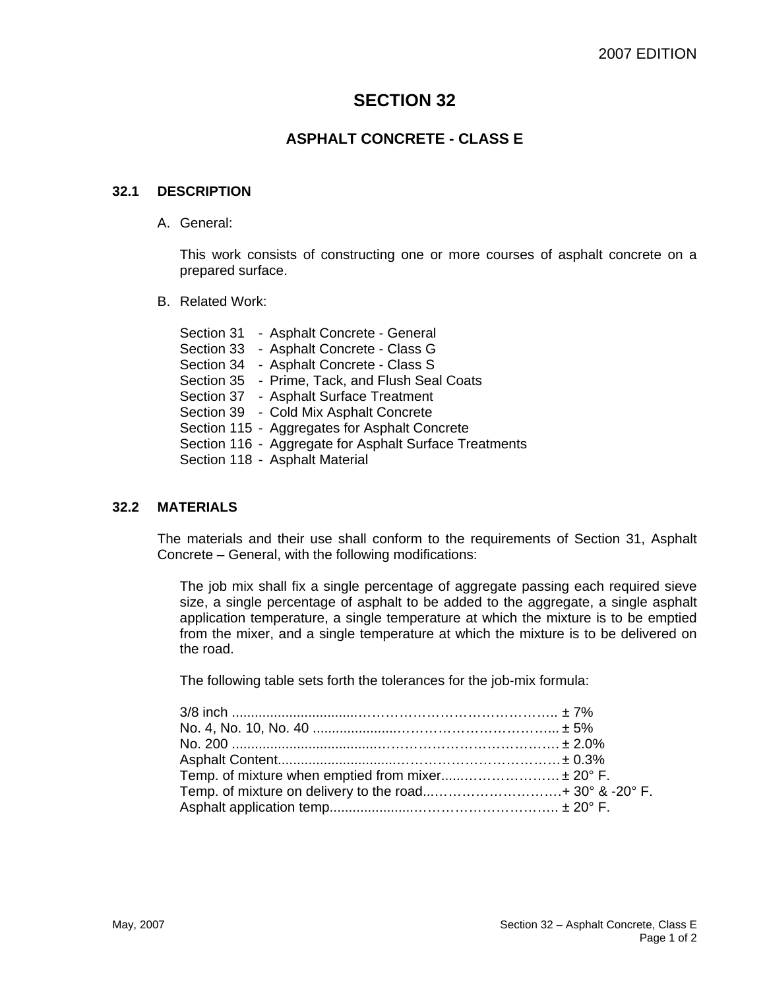# **SECTION 32**

## **ASPHALT CONCRETE - CLASS E**

### **32.1 DESCRIPTION**

A. General:

This work consists of constructing one or more courses of asphalt concrete on a prepared surface.

B. Related Work:

Section 31 - Asphalt Concrete - General Section 33 - Asphalt Concrete - Class G Section 34 - Asphalt Concrete - Class S Section 35 - Prime, Tack, and Flush Seal Coats Section 37 - Asphalt Surface Treatment Section 39 - Cold Mix Asphalt Concrete Section 115 - Aggregates for Asphalt Concrete Section 116 - Aggregate for Asphalt Surface Treatments Section 118 - Asphalt Material

#### **32.2 MATERIALS**

The materials and their use shall conform to the requirements of Section 31, Asphalt Concrete – General, with the following modifications:

The job mix shall fix a single percentage of aggregate passing each required sieve size, a single percentage of asphalt to be added to the aggregate, a single asphalt application temperature, a single temperature at which the mixture is to be emptied from the mixer, and a single temperature at which the mixture is to be delivered on the road.

The following table sets forth the tolerances for the job-mix formula:

| Temp. of mixture when emptied from mixer ± 20° F. |  |
|---------------------------------------------------|--|
|                                                   |  |
|                                                   |  |